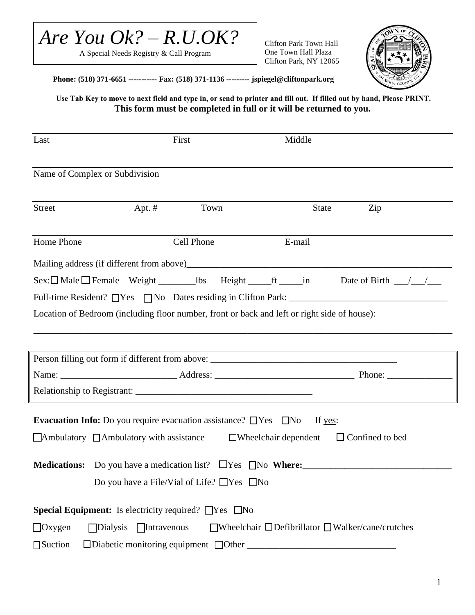

A Special Needs Registry & Call Program

Clifton Park Town Hall One Town Hall Plaza Clifton Park, NY 12065



**Phone: (518) 371-6651 ----------- Fax: (518) 371-1136 --------- jspiegel@cliftonpark.org**

**Use Tab Key to move to next field and type in, or send to printer and fill out. If filled out by hand, Please PRINT. This form must be completed in full or it will be returned to you.** 

| Last                           | First                                                                                        |      | Middle                      |                                                                                                                  |
|--------------------------------|----------------------------------------------------------------------------------------------|------|-----------------------------|------------------------------------------------------------------------------------------------------------------|
| Name of Complex or Subdivision |                                                                                              |      |                             |                                                                                                                  |
| <b>Street</b>                  | Apt. $#$                                                                                     | Town | <b>State</b>                | Zip                                                                                                              |
| Home Phone                     | Cell Phone                                                                                   |      | E-mail                      |                                                                                                                  |
|                                |                                                                                              |      |                             |                                                                                                                  |
|                                |                                                                                              |      |                             |                                                                                                                  |
|                                |                                                                                              |      |                             |                                                                                                                  |
|                                | Location of Bedroom (including floor number, front or back and left or right side of house): |      |                             |                                                                                                                  |
|                                |                                                                                              |      |                             |                                                                                                                  |
|                                |                                                                                              |      |                             | and the control of the control of the control of the control of the control of the control of the control of the |
|                                |                                                                                              |      |                             |                                                                                                                  |
|                                |                                                                                              |      |                             |                                                                                                                  |
|                                |                                                                                              |      |                             |                                                                                                                  |
|                                | <b>Evacuation Info:</b> Do you require evacuation assistance? $\Box$ Yes $\Box$ No           |      | If yes:                     |                                                                                                                  |
|                                | $\Box$ Ambulatory $\Box$ Ambulatory with assistance                                          |      | $\Box$ Wheelchair dependent | $\Box$ Confined to bed                                                                                           |
|                                |                                                                                              |      |                             |                                                                                                                  |
|                                | Do you have a File/Vial of Life? $\Box$ Yes $\Box$ No                                        |      |                             |                                                                                                                  |
|                                | <b>Special Equipment:</b> Is electricity required? $\Box$ Yes $\Box$ No                      |      |                             |                                                                                                                  |
| $\Box$ Oxygen                  | $\Box$ Dialysis $\Box$ Intravenous                                                           |      |                             | $\Box$ Wheelchair $\Box$ Defibrillator $\Box$ Walker/cane/crutches                                               |
| $\Box$ Suction                 | $\Box$ Diabetic monitoring equipment $\Box$ Other                                            |      |                             |                                                                                                                  |